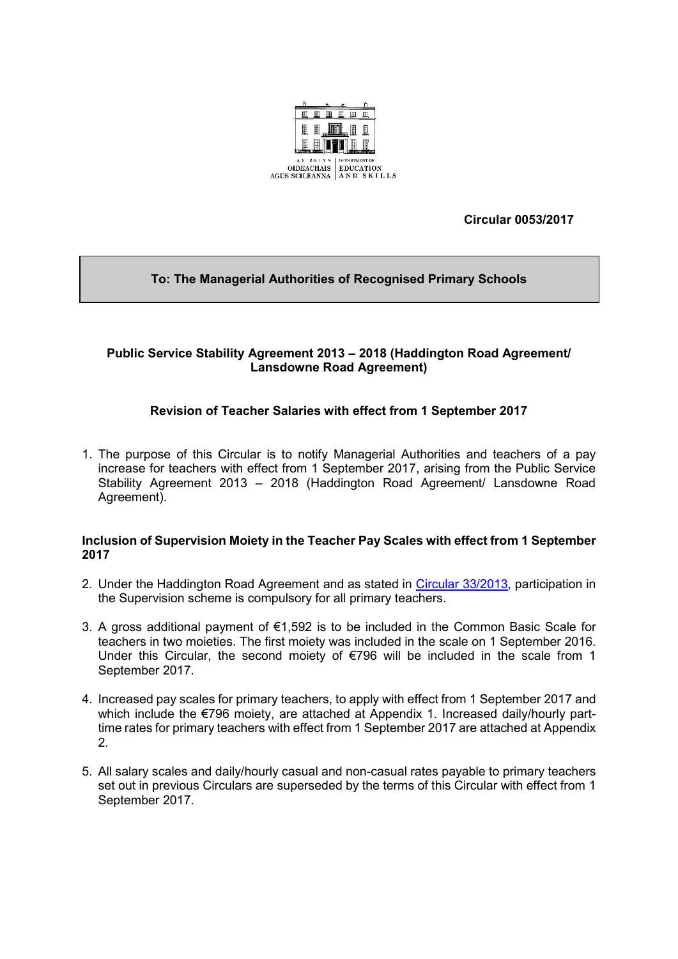

**Circular 0053/2017**

# **To: The Managerial Authorities of Recognised Primary Schools**

## **Public Service Stability Agreement 2013 – 2018 (Haddington Road Agreement/ Lansdowne Road Agreement)**

# **Revision of Teacher Salaries with effect from 1 September 2017**

1. The purpose of this Circular is to notify Managerial Authorities and teachers of a pay increase for teachers with effect from 1 September 2017, arising from the Public Service Stability Agreement 2013 – 2018 (Haddington Road Agreement/ Lansdowne Road Agreement).

#### **Inclusion of Supervision Moiety in the Teacher Pay Scales with effect from 1 September 2017**

- 2. Under the Haddington Road Agreement and as stated in [Circular 33/2013,](https://www.education.ie/en/Circulars-and-Forms/Active-Circulars/cl0033_2013.pdf) participation in the Supervision scheme is compulsory for all primary teachers.
- 3. A gross additional payment of €1,592 is to be included in the Common Basic Scale for teachers in two moieties. The first moiety was included in the scale on 1 September 2016. Under this Circular, the second moiety of  $\epsilon$ 796 will be included in the scale from 1 September 2017.
- 4. Increased pay scales for primary teachers, to apply with effect from 1 September 2017 and which include the €796 moiety, are attached at Appendix 1. Increased daily/hourly parttime rates for primary teachers with effect from 1 September 2017 are attached at Appendix 2.
- 5. All salary scales and daily/hourly casual and non-casual rates payable to primary teachers set out in previous Circulars are superseded by the terms of this Circular with effect from 1 September 2017.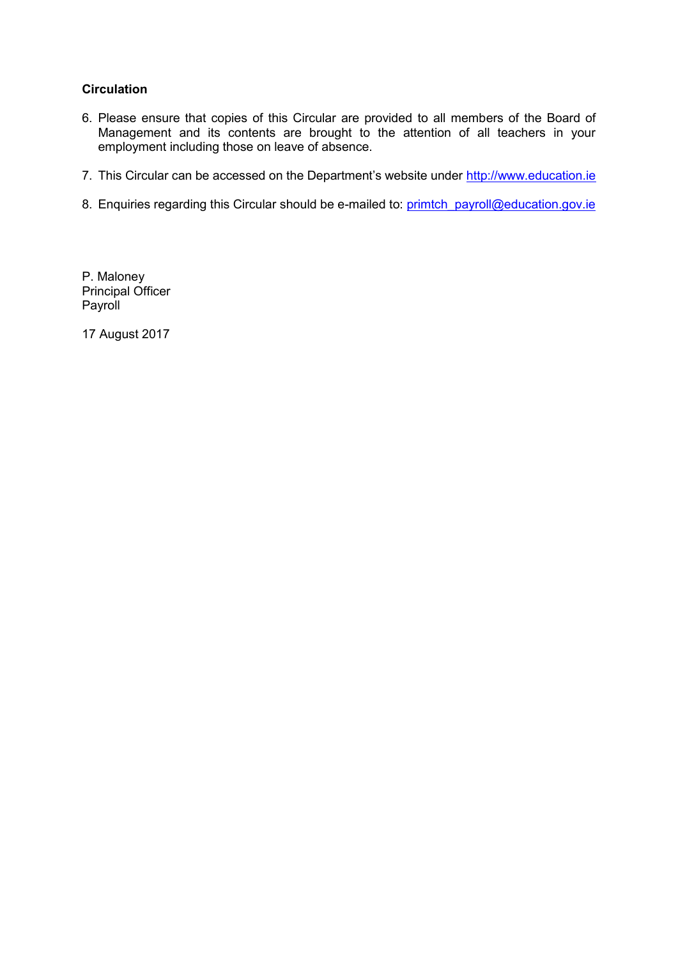## **Circulation**

- 6. Please ensure that copies of this Circular are provided to all members of the Board of Management and its contents are brought to the attention of all teachers in your employment including those on leave of absence.
- 7. This Circular can be accessed on the Department's website under [http://www.education.ie](http://www.education.ie/)
- 8. Enquiries regarding this Circular should be e-mailed to: [primtch\\_payroll@education.gov.ie](mailto:primtch_payroll@education.gov.ie)

P. Maloney Principal Officer Payroll

17 August 2017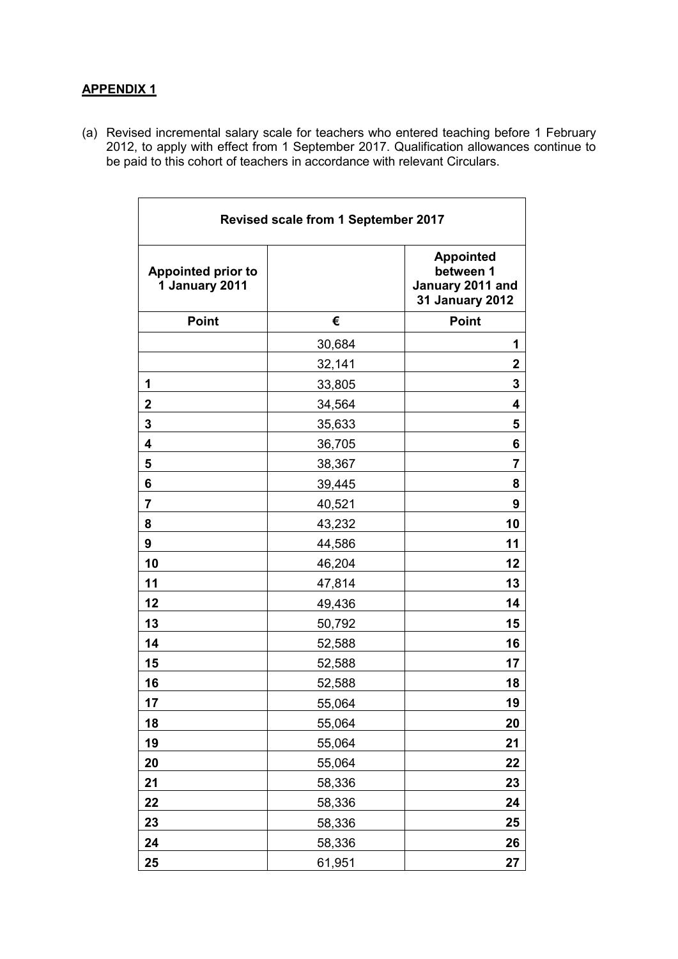## **APPENDIX 1**

(a) Revised incremental salary scale for teachers who entered teaching before 1 February 2012, to apply with effect from 1 September 2017. Qualification allowances continue to be paid to this cohort of teachers in accordance with relevant Circulars.

| Revised scale from 1 September 2017         |        |                                                                             |  |
|---------------------------------------------|--------|-----------------------------------------------------------------------------|--|
| <b>Appointed prior to</b><br>1 January 2011 |        | <b>Appointed</b><br>between 1<br>January 2011 and<br><b>31 January 2012</b> |  |
| <b>Point</b>                                | €      | <b>Point</b>                                                                |  |
|                                             | 30,684 | 1                                                                           |  |
|                                             | 32,141 | $\mathbf 2$                                                                 |  |
| 1                                           | 33,805 | 3                                                                           |  |
| $\mathbf 2$                                 | 34,564 | 4                                                                           |  |
| 3                                           | 35,633 | 5                                                                           |  |
| $\overline{\mathbf{4}}$                     | 36,705 | 6                                                                           |  |
| 5                                           | 38,367 | 7                                                                           |  |
| 6                                           | 39,445 | 8                                                                           |  |
| $\overline{\mathbf{r}}$                     | 40,521 | 9                                                                           |  |
| 8                                           | 43,232 | 10                                                                          |  |
| 9                                           | 44,586 | 11                                                                          |  |
| 10                                          | 46,204 | 12                                                                          |  |
| 11                                          | 47,814 | 13                                                                          |  |
| 12                                          | 49,436 | 14                                                                          |  |
| 13                                          | 50,792 | 15                                                                          |  |
| 14                                          | 52,588 | 16                                                                          |  |
| 15                                          | 52,588 | 17                                                                          |  |
| 16                                          | 52,588 | 18                                                                          |  |
| 17                                          | 55,064 | 19                                                                          |  |
| 18                                          | 55,064 | 20                                                                          |  |
| 19                                          | 55,064 | 21                                                                          |  |
| 20                                          | 55,064 | 22                                                                          |  |
| 21                                          | 58,336 | 23                                                                          |  |
| 22                                          | 58,336 | 24                                                                          |  |
| 23                                          | 58,336 | 25                                                                          |  |
| 24                                          | 58,336 | 26                                                                          |  |
| 25                                          | 61,951 | 27                                                                          |  |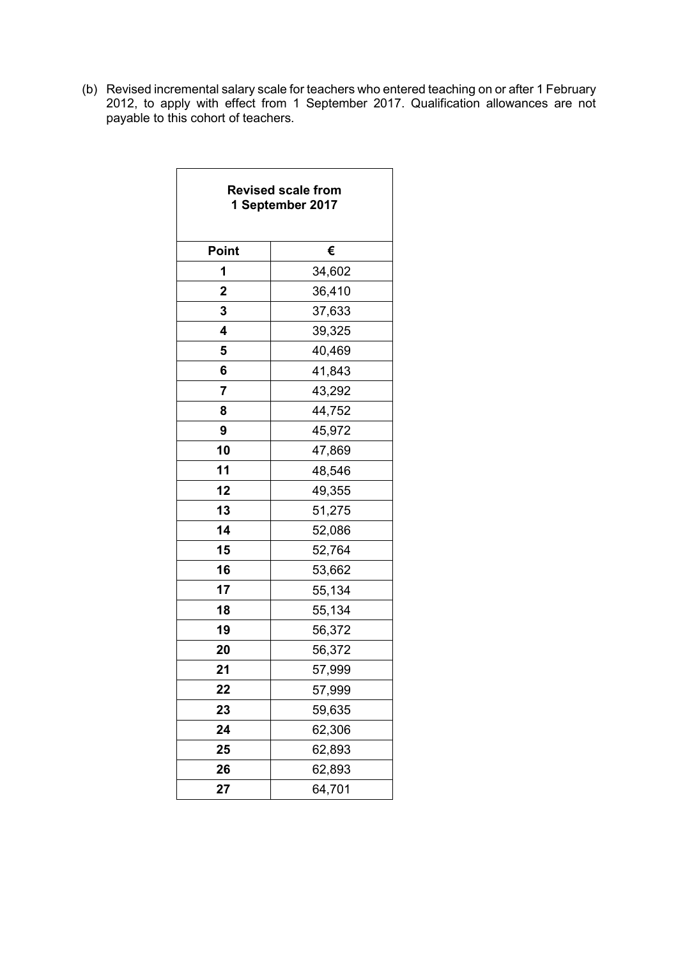(b) Revised incremental salary scale for teachers who entered teaching on or after 1 February 2012, to apply with effect from 1 September 2017. Qualification allowances are not payable to this cohort of teachers.

| <b>Revised scale from</b><br>1 September 2017 |        |  |  |
|-----------------------------------------------|--------|--|--|
| Point                                         | €      |  |  |
| 1                                             | 34,602 |  |  |
| $\overline{2}$                                | 36,410 |  |  |
| 3                                             | 37,633 |  |  |
| 4                                             | 39,325 |  |  |
| 5                                             | 40,469 |  |  |
| 6                                             | 41,843 |  |  |
| 7                                             | 43,292 |  |  |
| 8                                             | 44,752 |  |  |
| 9                                             | 45,972 |  |  |
| 10                                            | 47,869 |  |  |
| 11                                            | 48,546 |  |  |
| 12                                            | 49,355 |  |  |
| 13                                            | 51,275 |  |  |
| 14                                            | 52,086 |  |  |
| 15                                            | 52,764 |  |  |
| 16                                            | 53,662 |  |  |
| 17                                            | 55,134 |  |  |
| 18                                            | 55,134 |  |  |
| 19                                            | 56,372 |  |  |
| 20                                            | 56,372 |  |  |
| 21                                            | 57,999 |  |  |
| 22                                            | 57,999 |  |  |
| 23                                            | 59,635 |  |  |
| 24                                            | 62,306 |  |  |
| 25                                            | 62,893 |  |  |
| 26                                            | 62,893 |  |  |
| 27                                            | 64,701 |  |  |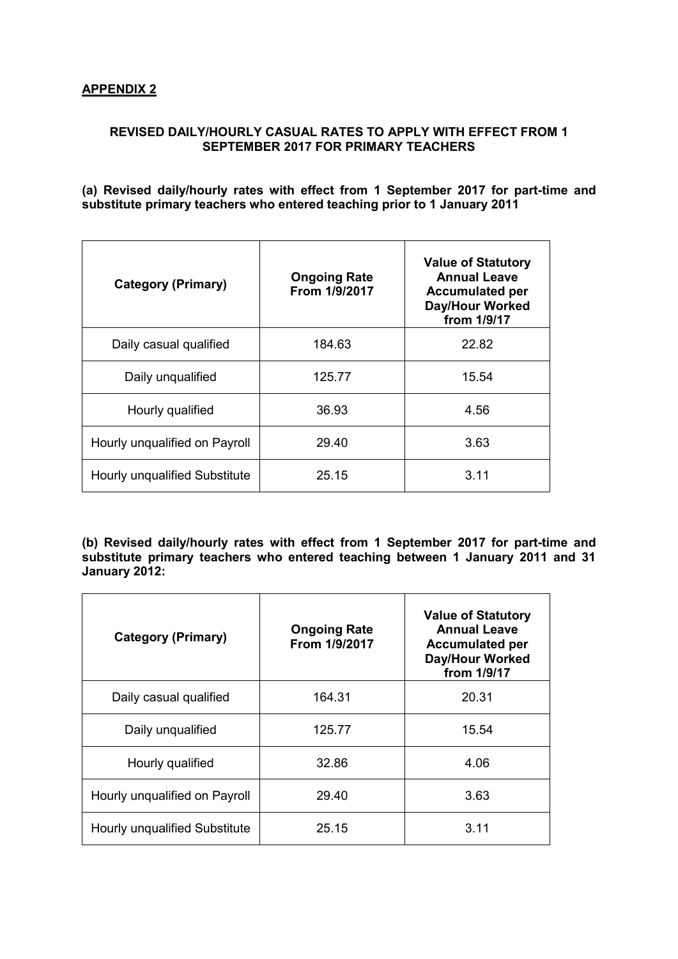### **APPENDIX 2**

### **REVISED DAILY/HOURLY CASUAL RATES TO APPLY WITH EFFECT FROM 1 SEPTEMBER 2017 FOR PRIMARY TEACHERS**

#### **(a) Revised daily/hourly rates with effect from 1 September 2017 for part-time and substitute primary teachers who entered teaching prior to 1 January 2011**

| <b>Category (Primary)</b>     | <b>Ongoing Rate</b><br>From 1/9/2017 | <b>Value of Statutory</b><br><b>Annual Leave</b><br><b>Accumulated per</b><br>Day/Hour Worked<br>from 1/9/17 |
|-------------------------------|--------------------------------------|--------------------------------------------------------------------------------------------------------------|
| Daily casual qualified        | 184.63                               | 22.82                                                                                                        |
| Daily unqualified             | 125.77                               | 15.54                                                                                                        |
| Hourly qualified              | 36.93                                | 4.56                                                                                                         |
| Hourly unqualified on Payroll | 29.40                                | 3.63                                                                                                         |
| Hourly unqualified Substitute | 25.15                                | 3.11                                                                                                         |

**(b) Revised daily/hourly rates with effect from 1 September 2017 for part-time and substitute primary teachers who entered teaching between 1 January 2011 and 31 January 2012:** 

| <b>Category (Primary)</b>     | <b>Ongoing Rate</b><br>From 1/9/2017 | <b>Value of Statutory</b><br><b>Annual Leave</b><br><b>Accumulated per</b><br><b>Day/Hour Worked</b><br>from 1/9/17 |
|-------------------------------|--------------------------------------|---------------------------------------------------------------------------------------------------------------------|
| Daily casual qualified        | 164.31                               | 20.31                                                                                                               |
| Daily unqualified             | 125.77                               | 15.54                                                                                                               |
| Hourly qualified              | 32.86                                | 4.06                                                                                                                |
| Hourly unqualified on Payroll | 29.40                                | 3.63                                                                                                                |
| Hourly unqualified Substitute | 25.15                                | 3.11                                                                                                                |